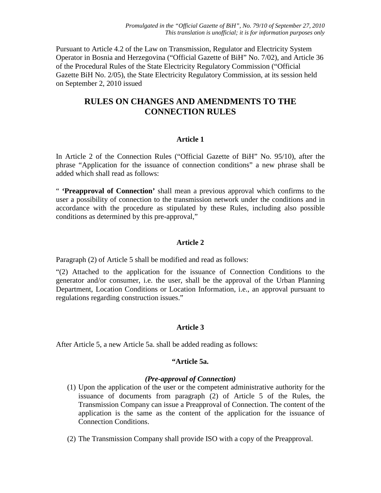*Promulgated in the "Official Gazette of BiH", No. 79/10 of September 27, 2010 This translation is unofficial; it is for information purposes only*

Pursuant to Article 4.2 of the Law on Transmission, Regulator and Electricity System Operator in Bosnia and Herzegovina ("Official Gazette of BiH" No. 7/02), and Article 36 of the Procedural Rules of the State Electricity Regulatory Commission ("Official Gazette BiH No. 2/05), the State Electricity Regulatory Commission, at its session held on September 2, 2010 issued

# **RULES ON CHANGES AND AMENDMENTS TO THE CONNECTION RULES**

### **Article 1**

In Article 2 of the Connection Rules ("Official Gazette of BiH" No. 95/10), after the phrase "Application for the issuance of connection conditions" a new phrase shall be added which shall read as follows:

" **'Preapproval of Connection'** shall mean a previous approval which confirms to the user a possibility of connection to the transmission network under the conditions and in accordance with the procedure as stipulated by these Rules, including also possible conditions as determined by this pre-approval,"

### **Article 2**

Paragraph (2) of Article 5 shall be modified and read as follows:

"(2) Attached to the application for the issuance of Connection Conditions to the generator and/or consumer, i.e. the user, shall be the approval of the Urban Planning Department, Location Conditions or Location Information, i.e., an approval pursuant to regulations regarding construction issues."

## **Article 3**

After Article 5, a new Article 5a. shall be added reading as follows:

### **"Article 5a.**

#### *(Pre-approval of Connection)*

- (1) Upon the application of the user or the competent administrative authority for the issuance of documents from paragraph (2) of Article 5 of the Rules, the Transmission Company can issue a Preapproval of Connection. The content of the application is the same as the content of the application for the issuance of Connection Conditions.
- (2) The Transmission Company shall provide ISO with a copy of the Preapproval.